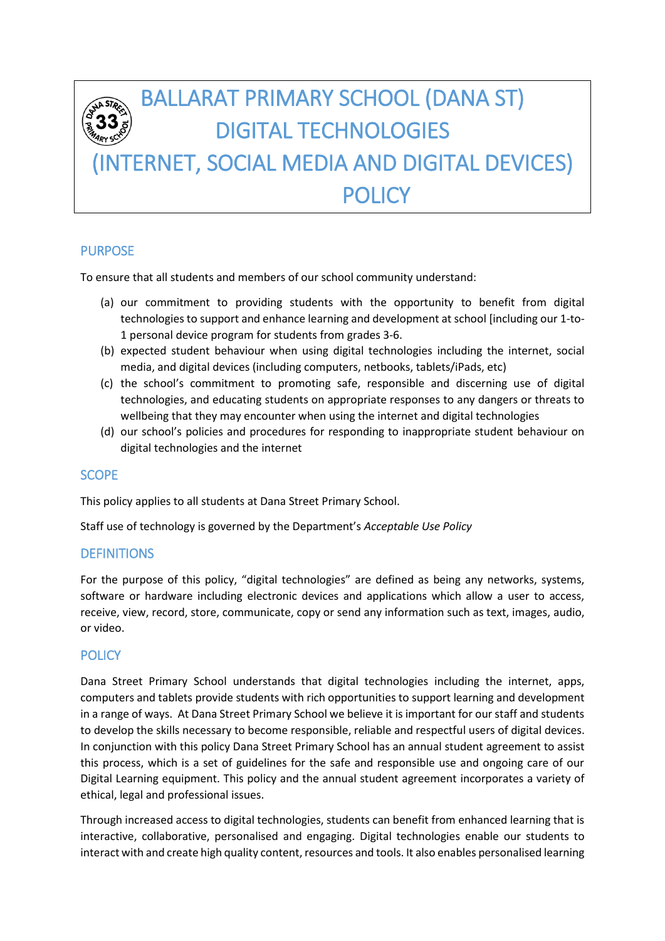# BALLARAT PRIMARY SCHOOL (DANA ST) DIGITAL TECHNOLOGIES (INTERNET, SOCIAL MEDIA AND DIGITAL DEVICES) POLICY

## PURPOSE

To ensure that all students and members of our school community understand:

- (a) our commitment to providing students with the opportunity to benefit from digital technologies to support and enhance learning and development at school [including our 1-to-1 personal device program for students from grades 3-6.
- (b) expected student behaviour when using digital technologies including the internet, social media, and digital devices (including computers, netbooks, tablets/iPads, etc)
- (c) the school's commitment to promoting safe, responsible and discerning use of digital technologies, and educating students on appropriate responses to any dangers or threats to wellbeing that they may encounter when using the internet and digital technologies
- (d) our school's policies and procedures for responding to inappropriate student behaviour on digital technologies and the internet

### **SCOPE**

This policy applies to all students at Dana Street Primary School.

Staff use of technology is governed by the Department's *Acceptable Use Policy*

### **DEFINITIONS**

For the purpose of this policy, "digital technologies" are defined as being any networks, systems, software or hardware including electronic devices and applications which allow a user to access, receive, view, record, store, communicate, copy or send any information such as text, images, audio, or video.

### **POLICY**

Dana Street Primary School understands that digital technologies including the internet, apps, computers and tablets provide students with rich opportunities to support learning and development in a range of ways. At Dana Street Primary School we believe it is important for our staff and students to develop the skills necessary to become responsible, reliable and respectful users of digital devices. In conjunction with this policy Dana Street Primary School has an annual student agreement to assist this process, which is a set of guidelines for the safe and responsible use and ongoing care of our Digital Learning equipment. This policy and the annual student agreement incorporates a variety of ethical, legal and professional issues.

Through increased access to digital technologies, students can benefit from enhanced learning that is interactive, collaborative, personalised and engaging. Digital technologies enable our students to interact with and create high quality content, resources and tools. It also enables personalised learning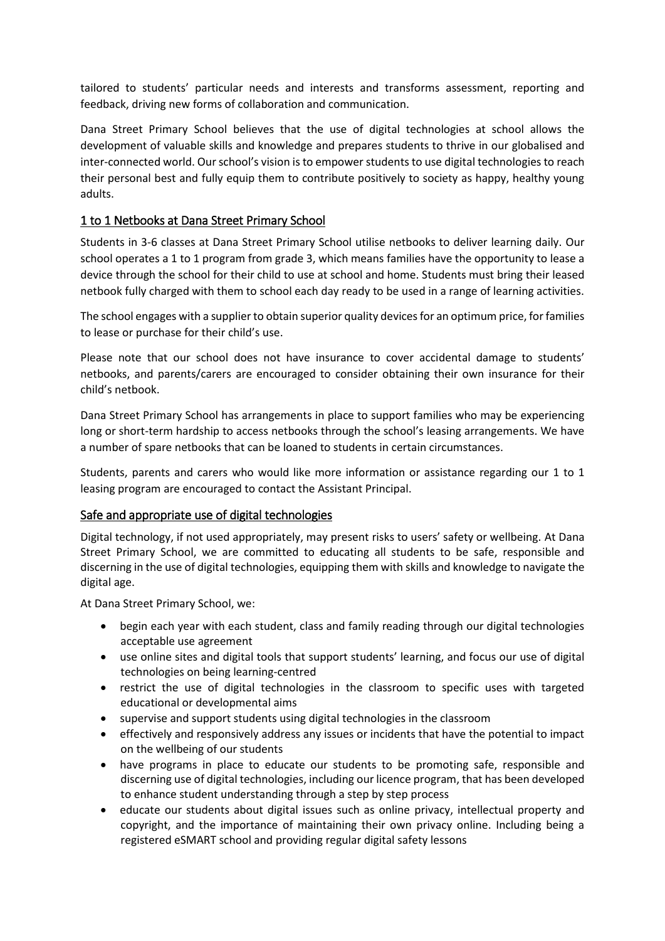tailored to students' particular needs and interests and transforms assessment, reporting and feedback, driving new forms of collaboration and communication.

Dana Street Primary School believes that the use of digital technologies at school allows the development of valuable skills and knowledge and prepares students to thrive in our globalised and inter-connected world. Our school's vision is to empower students to use digital technologies to reach their personal best and fully equip them to contribute positively to society as happy, healthy young adults.

#### 1 to 1 Netbooks at Dana Street Primary School

Students in 3-6 classes at Dana Street Primary School utilise netbooks to deliver learning daily. Our school operates a 1 to 1 program from grade 3, which means families have the opportunity to lease a device through the school for their child to use at school and home. Students must bring their leased netbook fully charged with them to school each day ready to be used in a range of learning activities.

The school engages with a supplier to obtain superior quality devices for an optimum price, for families to lease or purchase for their child's use.

Please note that our school does not have insurance to cover accidental damage to students' netbooks, and parents/carers are encouraged to consider obtaining their own insurance for their child's netbook.

Dana Street Primary School has arrangements in place to support families who may be experiencing long or short-term hardship to access netbooks through the school's leasing arrangements. We have a number of spare netbooks that can be loaned to students in certain circumstances.

Students, parents and carers who would like more information or assistance regarding our 1 to 1 leasing program are encouraged to contact the Assistant Principal.

#### Safe and appropriate use of digital technologies

Digital technology, if not used appropriately, may present risks to users' safety or wellbeing. At Dana Street Primary School, we are committed to educating all students to be safe, responsible and discerning in the use of digital technologies, equipping them with skills and knowledge to navigate the digital age.

At Dana Street Primary School, we:

- begin each year with each student, class and family reading through our digital technologies acceptable use agreement
- use online sites and digital tools that support students' learning, and focus our use of digital technologies on being learning-centred
- restrict the use of digital technologies in the classroom to specific uses with targeted educational or developmental aims
- supervise and support students using digital technologies in the classroom
- effectively and responsively address any issues or incidents that have the potential to impact on the wellbeing of our students
- have programs in place to educate our students to be promoting safe, responsible and discerning use of digital technologies, including our licence program, that has been developed to enhance student understanding through a step by step process
- educate our students about digital issues such as online privacy, intellectual property and copyright, and the importance of maintaining their own privacy online. Including being a registered eSMART school and providing regular digital safety lessons